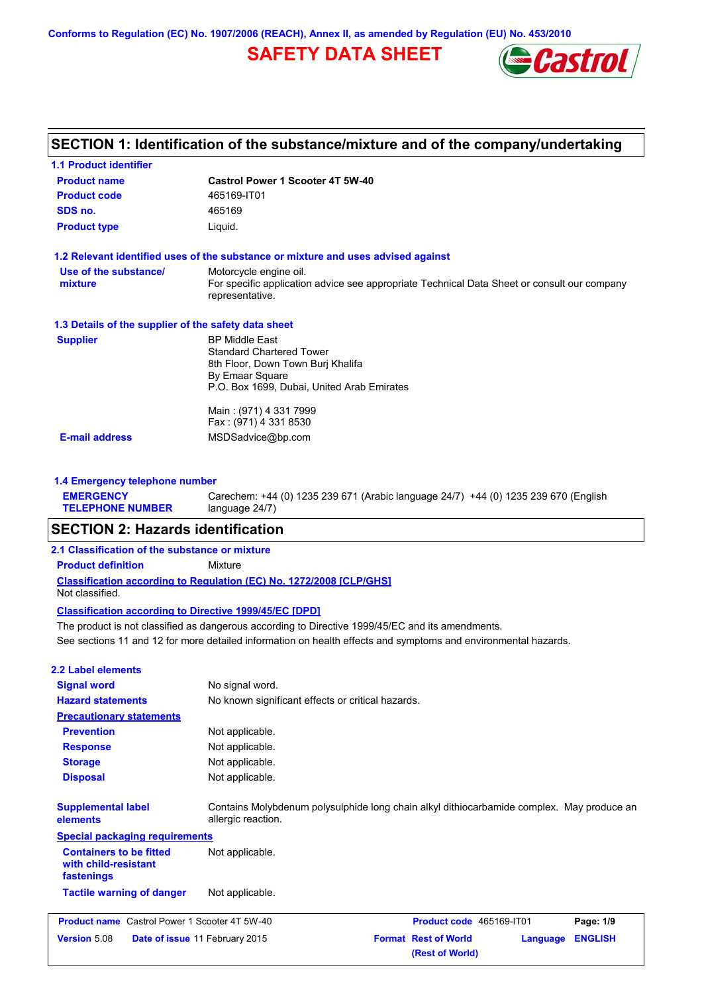**Conforms to Regulation (EC) No. 1907/2006 (REACH), Annex II, as amended by Regulation (EU) No. 453/2010**

# **SAFETY DATA SHEET**



| <b>1.1 Product identifier</b>                        |                                                                                                                |
|------------------------------------------------------|----------------------------------------------------------------------------------------------------------------|
| <b>Product name</b>                                  | <b>Castrol Power 1 Scooter 4T 5W-40</b>                                                                        |
| <b>Product code</b>                                  | 465169-IT01                                                                                                    |
| SDS no.                                              | 465169                                                                                                         |
| <b>Product type</b>                                  | Liquid.                                                                                                        |
|                                                      | 1.2 Relevant identified uses of the substance or mixture and uses advised against                              |
| Use of the substance/                                | Motorcycle engine oil.                                                                                         |
| mixture                                              | For specific application advice see appropriate Technical Data Sheet or consult our company<br>representative. |
| 1.3 Details of the supplier of the safety data sheet |                                                                                                                |
| <b>Supplier</b>                                      | <b>BP Middle East</b>                                                                                          |
|                                                      | <b>Standard Chartered Tower</b>                                                                                |
|                                                      | 8th Floor, Down Town Burj Khalifa                                                                              |
|                                                      | By Emaar Square<br>P.O. Box 1699, Dubai, United Arab Emirates                                                  |
|                                                      |                                                                                                                |
|                                                      | Main: (971) 4 331 7999                                                                                         |
|                                                      | Fax: (971) 4 331 8530                                                                                          |
| <b>E-mail address</b>                                | MSDSadvice@bp.com                                                                                              |

Carechem: +44 (0) 1235 239 671 (Arabic language 24/7) +44 (0) 1235 239 670 (English

#### **TELEPHONE NUMBER** language 24/7)

# **SECTION 2: Hazards identification**

### **2.1 Classification of the substance or mixture**

**Product definition** Mixture

**Classification according to Regulation (EC) No. 1272/2008 [CLP/GHS]** Not classified.

## **Classification according to Directive 1999/45/EC [DPD]**

See sections 11 and 12 for more detailed information on health effects and symptoms and environmental hazards. The product is not classified as dangerous according to Directive 1999/45/EC and its amendments.

# **2.2 Label elements**

**EMERGENCY** 

| <b>Signal word</b>                                                   | No signal word.                                                                                                 |                                                |          |                |
|----------------------------------------------------------------------|-----------------------------------------------------------------------------------------------------------------|------------------------------------------------|----------|----------------|
| <b>Hazard statements</b>                                             | No known significant effects or critical hazards.                                                               |                                                |          |                |
| <b>Precautionary statements</b>                                      |                                                                                                                 |                                                |          |                |
| <b>Prevention</b>                                                    | Not applicable.                                                                                                 |                                                |          |                |
| <b>Response</b>                                                      | Not applicable.                                                                                                 |                                                |          |                |
| <b>Storage</b>                                                       | Not applicable.                                                                                                 |                                                |          |                |
| <b>Disposal</b>                                                      | Not applicable.                                                                                                 |                                                |          |                |
| <b>Supplemental label</b><br>elements                                | Contains Molybdenum polysulphide long chain alkyl dithiocarbamide complex. May produce an<br>allergic reaction. |                                                |          |                |
| <b>Special packaging requirements</b>                                |                                                                                                                 |                                                |          |                |
| <b>Containers to be fitted</b><br>with child-resistant<br>fastenings | Not applicable.                                                                                                 |                                                |          |                |
| <b>Tactile warning of danger</b>                                     | Not applicable.                                                                                                 |                                                |          |                |
| <b>Product name</b> Castrol Power 1 Scooter 4T 5W-40                 |                                                                                                                 | Product code 465169-IT01                       |          | Page: 1/9      |
| <b>Version 5.08</b><br><b>Date of issue 11 February 2015</b>         |                                                                                                                 | <b>Format Rest of World</b><br>(Rest of World) | Language | <b>ENGLISH</b> |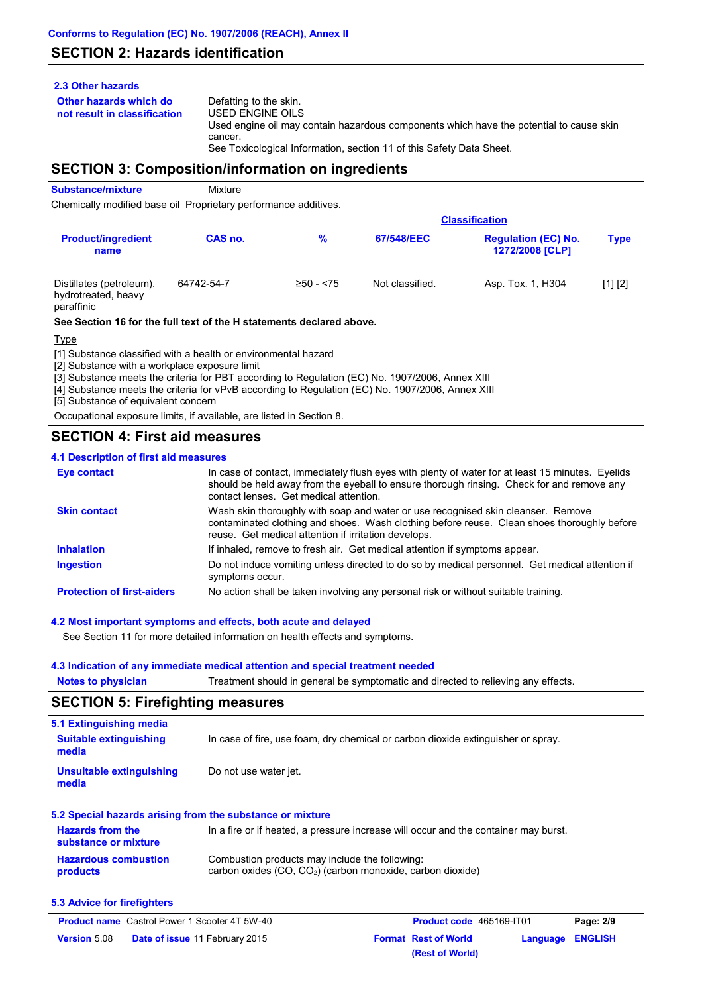# **SECTION 2: Hazards identification**

## **2.3 Other hazards**

**Other hazards which do** 

**not result in classification** Defatting to the skin. USED ENGINE OILS Used engine oil may contain hazardous components which have the potential to cause skin cancer. See Toxicological Information, section 11 of this Safety Data Sheet.

# **SECTION 3: Composition/information on ingredients**

**Substance/mixture** Mixture

Chemically modified base oil Proprietary performance additives.

|                                                               |            |             |                 | <b>Classification</b>                                |             |  |
|---------------------------------------------------------------|------------|-------------|-----------------|------------------------------------------------------|-------------|--|
| <b>Product/ingredient</b><br>name                             | CAS no.    | %           | 67/548/EEC      | <b>Regulation (EC) No.</b><br><b>1272/2008 [CLP]</b> | <b>Type</b> |  |
| Distillates (petroleum),<br>hydrotreated, heavy<br>paraffinic | 64742-54-7 | $≥50 - 575$ | Not classified. | Asp. Tox. 1, H304                                    | [1] [2]     |  |

### **See Section 16 for the full text of the H statements declared above.**

Type

[1] Substance classified with a health or environmental hazard

[2] Substance with a workplace exposure limit

[3] Substance meets the criteria for PBT according to Regulation (EC) No. 1907/2006, Annex XIII

[4] Substance meets the criteria for vPvB according to Regulation (EC) No. 1907/2006, Annex XIII

[5] Substance of equivalent concern

Occupational exposure limits, if available, are listed in Section 8.

# **SECTION 4: First aid measures**

## **4.1 Description of first aid measures**

| <b>Eye contact</b>                | In case of contact, immediately flush eyes with plenty of water for at least 15 minutes. Eyelids<br>should be held away from the eyeball to ensure thorough rinsing. Check for and remove any<br>contact lenses. Get medical attention. |
|-----------------------------------|-----------------------------------------------------------------------------------------------------------------------------------------------------------------------------------------------------------------------------------------|
| <b>Skin contact</b>               | Wash skin thoroughly with soap and water or use recognised skin cleanser. Remove<br>contaminated clothing and shoes. Wash clothing before reuse. Clean shoes thoroughly before<br>reuse. Get medical attention if irritation develops.  |
| <b>Inhalation</b>                 | If inhaled, remove to fresh air. Get medical attention if symptoms appear.                                                                                                                                                              |
| <b>Ingestion</b>                  | Do not induce vomiting unless directed to do so by medical personnel. Get medical attention if<br>symptoms occur.                                                                                                                       |
| <b>Protection of first-aiders</b> | No action shall be taken involving any personal risk or without suitable training.                                                                                                                                                      |

## **4.2 Most important symptoms and effects, both acute and delayed**

See Section 11 for more detailed information on health effects and symptoms.

## **4.3 Indication of any immediate medical attention and special treatment needed**

**Notes to physician** Treatment should in general be symptomatic and directed to relieving any effects.

# **SECTION 5: Firefighting measures**

| 5.1 Extinguishing media                         |                                                                                     |
|-------------------------------------------------|-------------------------------------------------------------------------------------|
| <b>Suitable extinguishing</b><br>media          | In case of fire, use foam, dry chemical or carbon dioxide extinguisher or spray.    |
| Unsuitable extinguishing<br>media               | Do not use water jet.                                                               |
|                                                 | 5.2 Special hazards arising from the substance or mixture                           |
| <b>Hazards from the</b><br>substance or mixture | In a fire or if heated, a pressure increase will occur and the container may burst. |
| Hazardous combustion                            | Combustion products may include the following:                                      |

#### **Hazardous combustion products** nay include the following: carbon oxides (CO, CO2) (carbon monoxide, carbon dioxide)

### **5.3 Advice for firefighters**

| <b>Product name</b> Castrol Power 1 Scooter 4T 5W-40 |                                       | Product code 465169-IT01 |                             | Page: 2/9        |  |
|------------------------------------------------------|---------------------------------------|--------------------------|-----------------------------|------------------|--|
| <b>Version 5.08</b>                                  | <b>Date of issue 11 February 2015</b> |                          | <b>Format Rest of World</b> | Language ENGLISH |  |
|                                                      |                                       |                          | (Rest of World)             |                  |  |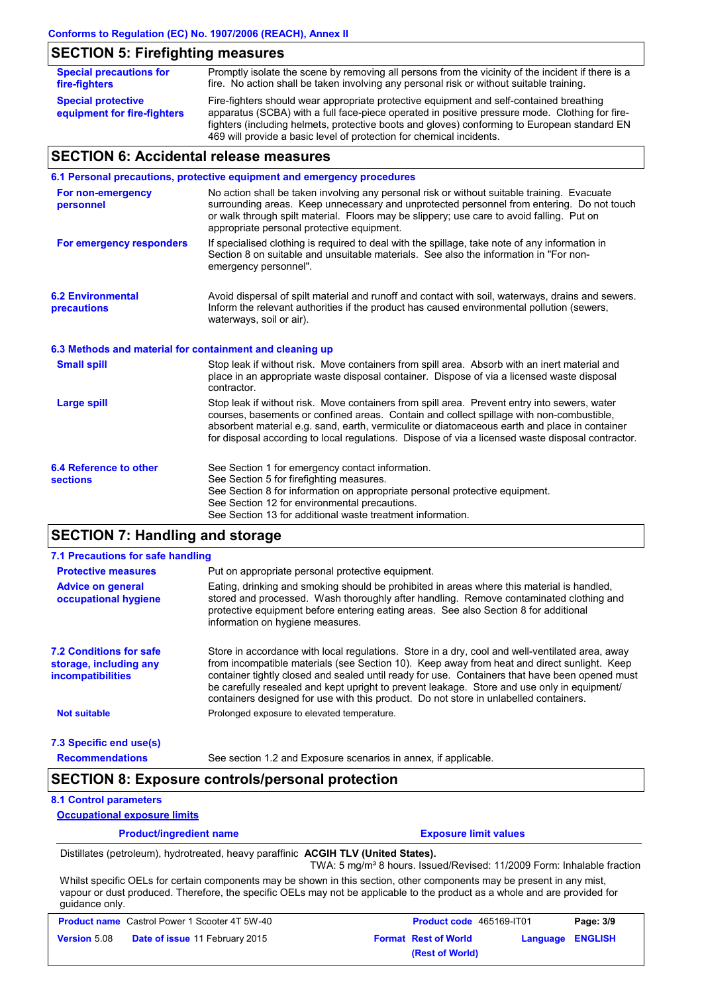# **SECTION 5: Firefighting measures**

| <b>Special precautions for</b><br>fire-fighters          | Promptly isolate the scene by removing all persons from the vicinity of the incident if there is a<br>fire. No action shall be taken involving any personal risk or without suitable training.                                                                                            |
|----------------------------------------------------------|-------------------------------------------------------------------------------------------------------------------------------------------------------------------------------------------------------------------------------------------------------------------------------------------|
| <b>Special protective</b><br>equipment for fire-fighters | Fire-fighters should wear appropriate protective equipment and self-contained breathing<br>apparatus (SCBA) with a full face-piece operated in positive pressure mode. Clothing for fire-<br>fighters (including helmets, protective boots and gloves) conforming to European standard EN |
|                                                          | 469 will provide a basic level of protection for chemical incidents.                                                                                                                                                                                                                      |

# **SECTION 6: Accidental release measures**

|                                                          | 6.1 Personal precautions, protective equipment and emergency procedures                                                                                                                                                                                                                                                                                                                        |
|----------------------------------------------------------|------------------------------------------------------------------------------------------------------------------------------------------------------------------------------------------------------------------------------------------------------------------------------------------------------------------------------------------------------------------------------------------------|
| For non-emergency<br>personnel                           | No action shall be taken involving any personal risk or without suitable training. Evacuate<br>surrounding areas. Keep unnecessary and unprotected personnel from entering. Do not touch<br>or walk through spilt material. Floors may be slippery; use care to avoid falling. Put on<br>appropriate personal protective equipment.                                                            |
| For emergency responders                                 | If specialised clothing is required to deal with the spillage, take note of any information in<br>Section 8 on suitable and unsuitable materials. See also the information in "For non-<br>emergency personnel".                                                                                                                                                                               |
| <b>6.2 Environmental</b><br>precautions                  | Avoid dispersal of spilt material and runoff and contact with soil, waterways, drains and sewers.<br>Inform the relevant authorities if the product has caused environmental pollution (sewers,<br>waterways, soil or air).                                                                                                                                                                    |
| 6.3 Methods and material for containment and cleaning up |                                                                                                                                                                                                                                                                                                                                                                                                |
| <b>Small spill</b>                                       | Stop leak if without risk. Move containers from spill area. Absorb with an inert material and<br>place in an appropriate waste disposal container. Dispose of via a licensed waste disposal<br>contractor.                                                                                                                                                                                     |
| <b>Large spill</b>                                       | Stop leak if without risk. Move containers from spill area. Prevent entry into sewers, water<br>courses, basements or confined areas. Contain and collect spillage with non-combustible,<br>absorbent material e.g. sand, earth, vermiculite or diatomaceous earth and place in container<br>for disposal according to local regulations. Dispose of via a licensed waste disposal contractor. |
| 6.4 Reference to other<br><b>sections</b>                | See Section 1 for emergency contact information.<br>See Section 5 for firefighting measures.<br>See Section 8 for information on appropriate personal protective equipment.<br>See Section 12 for environmental precautions.<br>See Section 13 for additional waste treatment information.                                                                                                     |

# **SECTION 7: Handling and storage**

| 7.1 Precautions for safe handling                                                    |                                                                                                                                                                                                                                                                                                                                                                                                                                                                                          |
|--------------------------------------------------------------------------------------|------------------------------------------------------------------------------------------------------------------------------------------------------------------------------------------------------------------------------------------------------------------------------------------------------------------------------------------------------------------------------------------------------------------------------------------------------------------------------------------|
| <b>Protective measures</b>                                                           | Put on appropriate personal protective equipment.                                                                                                                                                                                                                                                                                                                                                                                                                                        |
| <b>Advice on general</b><br>occupational hygiene                                     | Eating, drinking and smoking should be prohibited in areas where this material is handled,<br>stored and processed. Wash thoroughly after handling. Remove contaminated clothing and<br>protective equipment before entering eating areas. See also Section 8 for additional<br>information on hygiene measures.                                                                                                                                                                         |
| <b>7.2 Conditions for safe</b><br>storage, including any<br><i>incompatibilities</i> | Store in accordance with local requiations. Store in a dry, cool and well-ventilated area, away<br>from incompatible materials (see Section 10). Keep away from heat and direct sunlight. Keep<br>container tightly closed and sealed until ready for use. Containers that have been opened must<br>be carefully resealed and kept upright to prevent leakage. Store and use only in equipment/<br>containers designed for use with this product. Do not store in unlabelled containers. |
| <b>Not suitable</b>                                                                  | Prolonged exposure to elevated temperature.                                                                                                                                                                                                                                                                                                                                                                                                                                              |
| 7.3 Specific end use(s)                                                              |                                                                                                                                                                                                                                                                                                                                                                                                                                                                                          |

**Recommendations**

## See section 1.2 and Exposure scenarios in annex, if applicable.

# **SECTION 8: Exposure controls/personal protection**

## **8.1 Control parameters**

**Occupational exposure limits**

| <b>Product/ingredient name</b> | <b>Exposure limit values</b> |
|--------------------------------|------------------------------|
|                                |                              |

Distillates (petroleum), hydrotreated, heavy paraffinic **ACGIH TLV (United States).**

TWA: 5 mg/m<sup>3</sup> 8 hours. Issued/Revised: 11/2009 Form: Inhalable fraction

Whilst specific OELs for certain components may be shown in this section, other components may be present in any mist, vapour or dust produced. Therefore, the specific OELs may not be applicable to the product as a whole and are provided for guidance only.

| <b>Product name</b> Castrol Power 1 Scooter 4T 5W-40 |                                       | <b>Product code</b> 465169-IT01 | Page: 3/9               |
|------------------------------------------------------|---------------------------------------|---------------------------------|-------------------------|
| <b>Version 5.08</b>                                  | <b>Date of issue 11 February 2015</b> | <b>Format Rest of World</b>     | <b>Language ENGLISH</b> |
|                                                      |                                       | (Rest of World)                 |                         |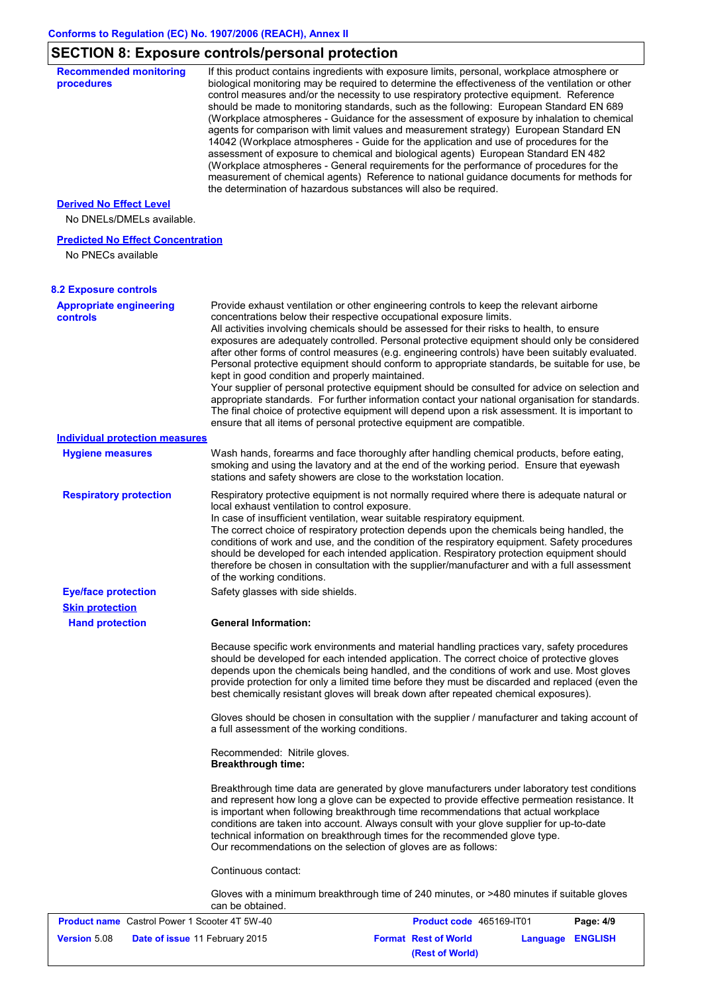# **SECTION 8: Exposure controls/personal protection**

| <b>Recommended monitoring</b><br>procedures                    | If this product contains ingredients with exposure limits, personal, workplace atmosphere or<br>biological monitoring may be required to determine the effectiveness of the ventilation or other<br>control measures and/or the necessity to use respiratory protective equipment. Reference<br>should be made to monitoring standards, such as the following: European Standard EN 689<br>(Workplace atmospheres - Guidance for the assessment of exposure by inhalation to chemical<br>agents for comparison with limit values and measurement strategy) European Standard EN<br>14042 (Workplace atmospheres - Guide for the application and use of procedures for the<br>assessment of exposure to chemical and biological agents) European Standard EN 482<br>(Workplace atmospheres - General requirements for the performance of procedures for the<br>measurement of chemical agents) Reference to national guidance documents for methods for<br>the determination of hazardous substances will also be required. |
|----------------------------------------------------------------|----------------------------------------------------------------------------------------------------------------------------------------------------------------------------------------------------------------------------------------------------------------------------------------------------------------------------------------------------------------------------------------------------------------------------------------------------------------------------------------------------------------------------------------------------------------------------------------------------------------------------------------------------------------------------------------------------------------------------------------------------------------------------------------------------------------------------------------------------------------------------------------------------------------------------------------------------------------------------------------------------------------------------|
| <b>Derived No Effect Level</b>                                 |                                                                                                                                                                                                                                                                                                                                                                                                                                                                                                                                                                                                                                                                                                                                                                                                                                                                                                                                                                                                                            |
| No DNELs/DMELs available.                                      |                                                                                                                                                                                                                                                                                                                                                                                                                                                                                                                                                                                                                                                                                                                                                                                                                                                                                                                                                                                                                            |
| <b>Predicted No Effect Concentration</b><br>No PNECs available |                                                                                                                                                                                                                                                                                                                                                                                                                                                                                                                                                                                                                                                                                                                                                                                                                                                                                                                                                                                                                            |
| <b>8.2 Exposure controls</b>                                   |                                                                                                                                                                                                                                                                                                                                                                                                                                                                                                                                                                                                                                                                                                                                                                                                                                                                                                                                                                                                                            |
| <b>Appropriate engineering</b><br>controls                     | Provide exhaust ventilation or other engineering controls to keep the relevant airborne<br>concentrations below their respective occupational exposure limits.<br>All activities involving chemicals should be assessed for their risks to health, to ensure<br>exposures are adequately controlled. Personal protective equipment should only be considered<br>after other forms of control measures (e.g. engineering controls) have been suitably evaluated.<br>Personal protective equipment should conform to appropriate standards, be suitable for use, be<br>kept in good condition and properly maintained.<br>Your supplier of personal protective equipment should be consulted for advice on selection and<br>appropriate standards. For further information contact your national organisation for standards.<br>The final choice of protective equipment will depend upon a risk assessment. It is important to<br>ensure that all items of personal protective equipment are compatible.                    |
| <b>Individual protection measures</b>                          |                                                                                                                                                                                                                                                                                                                                                                                                                                                                                                                                                                                                                                                                                                                                                                                                                                                                                                                                                                                                                            |
| <b>Hygiene measures</b>                                        | Wash hands, forearms and face thoroughly after handling chemical products, before eating,<br>smoking and using the lavatory and at the end of the working period. Ensure that eyewash<br>stations and safety showers are close to the workstation location.                                                                                                                                                                                                                                                                                                                                                                                                                                                                                                                                                                                                                                                                                                                                                                |
| <b>Respiratory protection</b>                                  | Respiratory protective equipment is not normally required where there is adequate natural or<br>local exhaust ventilation to control exposure.<br>In case of insufficient ventilation, wear suitable respiratory equipment.<br>The correct choice of respiratory protection depends upon the chemicals being handled, the<br>conditions of work and use, and the condition of the respiratory equipment. Safety procedures<br>should be developed for each intended application. Respiratory protection equipment should<br>therefore be chosen in consultation with the supplier/manufacturer and with a full assessment<br>of the working conditions.                                                                                                                                                                                                                                                                                                                                                                    |
| <b>Eye/face protection</b>                                     | Safety glasses with side shields.                                                                                                                                                                                                                                                                                                                                                                                                                                                                                                                                                                                                                                                                                                                                                                                                                                                                                                                                                                                          |
| <b>Skin protection</b><br><b>Hand protection</b>               | <b>General Information:</b>                                                                                                                                                                                                                                                                                                                                                                                                                                                                                                                                                                                                                                                                                                                                                                                                                                                                                                                                                                                                |
|                                                                | Because specific work environments and material handling practices vary, safety procedures<br>should be developed for each intended application. The correct choice of protective gloves<br>depends upon the chemicals being handled, and the conditions of work and use. Most gloves<br>provide protection for only a limited time before they must be discarded and replaced (even the<br>best chemically resistant gloves will break down after repeated chemical exposures).                                                                                                                                                                                                                                                                                                                                                                                                                                                                                                                                           |
|                                                                | Gloves should be chosen in consultation with the supplier / manufacturer and taking account of<br>a full assessment of the working conditions.                                                                                                                                                                                                                                                                                                                                                                                                                                                                                                                                                                                                                                                                                                                                                                                                                                                                             |
|                                                                | Recommended: Nitrile gloves.<br><b>Breakthrough time:</b>                                                                                                                                                                                                                                                                                                                                                                                                                                                                                                                                                                                                                                                                                                                                                                                                                                                                                                                                                                  |
|                                                                | Breakthrough time data are generated by glove manufacturers under laboratory test conditions<br>and represent how long a glove can be expected to provide effective permeation resistance. It<br>is important when following breakthrough time recommendations that actual workplace<br>conditions are taken into account. Always consult with your glove supplier for up-to-date<br>technical information on breakthrough times for the recommended glove type.<br>Our recommendations on the selection of gloves are as follows:                                                                                                                                                                                                                                                                                                                                                                                                                                                                                         |
|                                                                | Continuous contact:                                                                                                                                                                                                                                                                                                                                                                                                                                                                                                                                                                                                                                                                                                                                                                                                                                                                                                                                                                                                        |
|                                                                | Gloves with a minimum breakthrough time of 240 minutes, or >480 minutes if suitable gloves<br>can be obtained.                                                                                                                                                                                                                                                                                                                                                                                                                                                                                                                                                                                                                                                                                                                                                                                                                                                                                                             |
| <b>Product name</b> Castrol Power 1 Scooter 4T 5W-40           | Product code 465169-IT01<br>Page: 4/9                                                                                                                                                                                                                                                                                                                                                                                                                                                                                                                                                                                                                                                                                                                                                                                                                                                                                                                                                                                      |
| <b>Version 5.08</b>                                            | <b>Format Rest of World</b><br>Date of issue 11 February 2015<br><b>Language ENGLISH</b>                                                                                                                                                                                                                                                                                                                                                                                                                                                                                                                                                                                                                                                                                                                                                                                                                                                                                                                                   |

**(Rest of World)**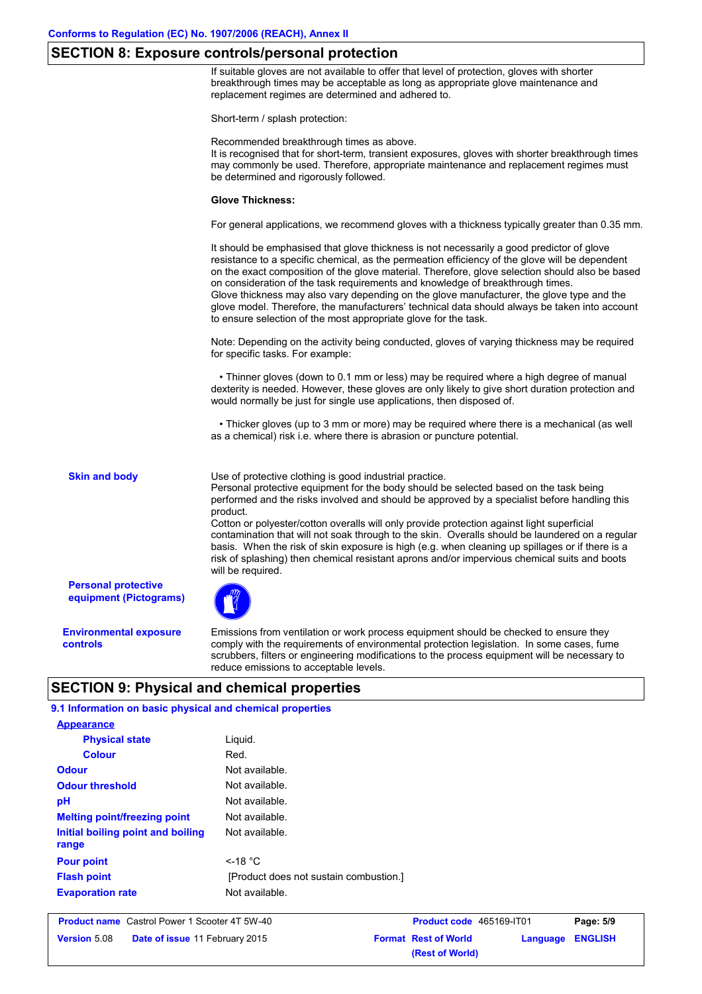# **SECTION 8: Exposure controls/personal protection**

If suitable gloves are not available to offer that level of protection, gloves with shorter breakthrough times may be acceptable as long as appropriate glove maintenance and replacement regimes are determined and adhered to.

Short-term / splash protection:

Recommended breakthrough times as above.

It is recognised that for short-term, transient exposures, gloves with shorter breakthrough times may commonly be used. Therefore, appropriate maintenance and replacement regimes must be determined and rigorously followed.

#### **Glove Thickness:**

For general applications, we recommend gloves with a thickness typically greater than 0.35 mm.

It should be emphasised that glove thickness is not necessarily a good predictor of glove resistance to a specific chemical, as the permeation efficiency of the glove will be dependent on the exact composition of the glove material. Therefore, glove selection should also be based on consideration of the task requirements and knowledge of breakthrough times. Glove thickness may also vary depending on the glove manufacturer, the glove type and the glove model. Therefore, the manufacturers' technical data should always be taken into account to ensure selection of the most appropriate glove for the task.

Note: Depending on the activity being conducted, gloves of varying thickness may be required for specific tasks. For example:

 • Thinner gloves (down to 0.1 mm or less) may be required where a high degree of manual dexterity is needed. However, these gloves are only likely to give short duration protection and would normally be just for single use applications, then disposed of.

 • Thicker gloves (up to 3 mm or more) may be required where there is a mechanical (as well as a chemical) risk i.e. where there is abrasion or puncture potential.

**Skin and body**

Use of protective clothing is good industrial practice.

Personal protective equipment for the body should be selected based on the task being performed and the risks involved and should be approved by a specialist before handling this product.

Cotton or polyester/cotton overalls will only provide protection against light superficial contamination that will not soak through to the skin. Overalls should be laundered on a regular basis. When the risk of skin exposure is high (e.g. when cleaning up spillages or if there is a risk of splashing) then chemical resistant aprons and/or impervious chemical suits and boots will be required.

**Personal protective equipment (Pictograms)**

**Environmental exposure controls**

Emissions from ventilation or work process equipment should be checked to ensure they comply with the requirements of environmental protection legislation. In some cases, fume scrubbers, filters or engineering modifications to the process equipment will be necessary to reduce emissions to acceptable levels.

**(Rest of World)**

# **SECTION 9: Physical and chemical properties**

| 9.1 Information on basic physical and chemical properties |                                        |                             |          |                |
|-----------------------------------------------------------|----------------------------------------|-----------------------------|----------|----------------|
| <b>Appearance</b>                                         |                                        |                             |          |                |
| <b>Physical state</b>                                     | Liquid.                                |                             |          |                |
| <b>Colour</b>                                             | Red.                                   |                             |          |                |
| <b>Odour</b>                                              | Not available.                         |                             |          |                |
| <b>Odour threshold</b>                                    |                                        |                             |          |                |
| pH                                                        | Not available.<br>Not available.       |                             |          |                |
| <b>Melting point/freezing point</b>                       |                                        |                             |          |                |
| Initial boiling point and boiling<br>range                | Not available.                         |                             |          |                |
| <b>Pour point</b>                                         | $<$ -18 °C                             |                             |          |                |
| <b>Flash point</b>                                        | [Product does not sustain combustion.] |                             |          |                |
| <b>Evaporation rate</b>                                   | Not available.                         |                             |          |                |
| <b>Product name</b> Castrol Power 1 Scooter 4T 5W-40      |                                        | Product code 465169-IT01    |          | Page: 5/9      |
| <b>Version 5.08</b><br>Date of issue 11 February 2015     |                                        | <b>Format Rest of World</b> | Language | <b>ENGLISH</b> |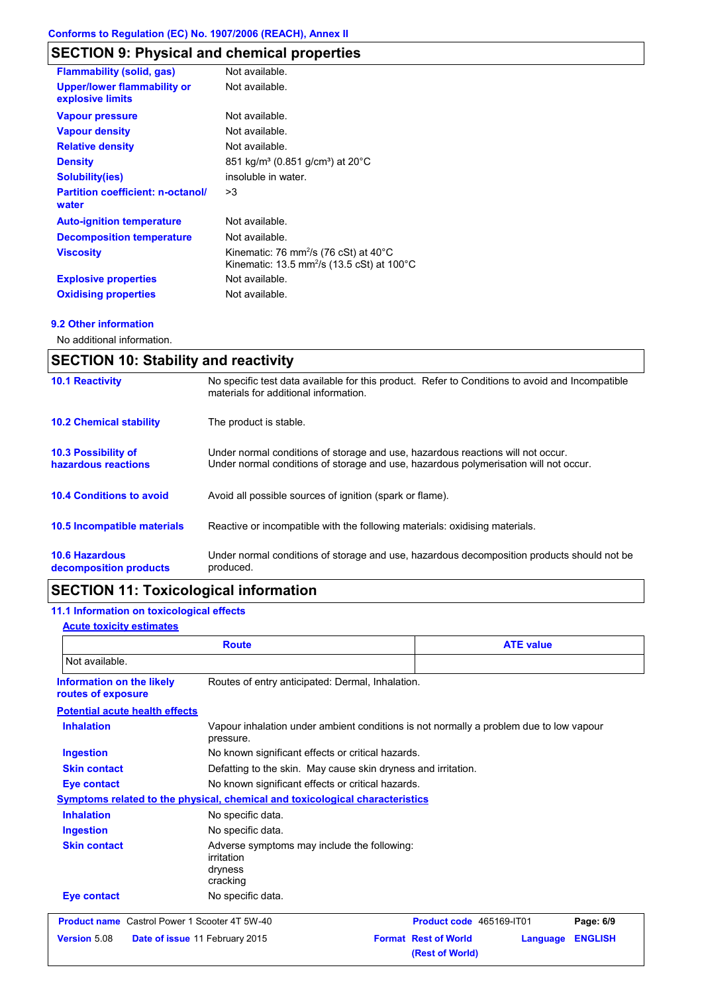# **SECTION 9: Physical and chemical properties**

| <b>Flammability (solid, gas)</b>                       | Not available.                                                                                                                   |
|--------------------------------------------------------|----------------------------------------------------------------------------------------------------------------------------------|
| <b>Upper/lower flammability or</b><br>explosive limits | Not available.                                                                                                                   |
| <b>Vapour pressure</b>                                 | Not available.                                                                                                                   |
| <b>Vapour density</b>                                  | Not available.                                                                                                                   |
| <b>Relative density</b>                                | Not available.                                                                                                                   |
| <b>Density</b>                                         | 851 kg/m <sup>3</sup> (0.851 g/cm <sup>3</sup> ) at 20°C                                                                         |
| <b>Solubility(ies)</b>                                 | insoluble in water.                                                                                                              |
| <b>Partition coefficient: n-octanol/</b><br>water      | >3                                                                                                                               |
| <b>Auto-ignition temperature</b>                       | Not available.                                                                                                                   |
| <b>Decomposition temperature</b>                       | Not available.                                                                                                                   |
| <b>Viscosity</b>                                       | Kinematic: 76 mm <sup>2</sup> /s (76 cSt) at $40^{\circ}$ C<br>Kinematic: 13.5 mm <sup>2</sup> /s (13.5 cSt) at 100 $^{\circ}$ C |
| <b>Explosive properties</b>                            | Not available.                                                                                                                   |
| <b>Oxidising properties</b>                            | Not available.                                                                                                                   |

## **9.2 Other information**

No additional information.

| <b>SECTION 10: Stability and reactivity</b>       |                                                                                                                                                                         |  |
|---------------------------------------------------|-------------------------------------------------------------------------------------------------------------------------------------------------------------------------|--|
| <b>10.1 Reactivity</b>                            | No specific test data available for this product. Refer to Conditions to avoid and Incompatible<br>materials for additional information.                                |  |
| <b>10.2 Chemical stability</b>                    | The product is stable.                                                                                                                                                  |  |
| <b>10.3 Possibility of</b><br>hazardous reactions | Under normal conditions of storage and use, hazardous reactions will not occur.<br>Under normal conditions of storage and use, hazardous polymerisation will not occur. |  |
| <b>10.4 Conditions to avoid</b>                   | Avoid all possible sources of ignition (spark or flame).                                                                                                                |  |
| <b>10.5 Incompatible materials</b>                | Reactive or incompatible with the following materials: oxidising materials.                                                                                             |  |
| <b>10.6 Hazardous</b><br>decomposition products   | Under normal conditions of storage and use, hazardous decomposition products should not be<br>produced.                                                                 |  |

# **SECTION 11: Toxicological information**

# **11.1 Information on toxicological effects**

## **Acute toxicity estimates**

| <b>Route</b>                                         |                                                                                                     | <b>ATE value</b>                                           |                |
|------------------------------------------------------|-----------------------------------------------------------------------------------------------------|------------------------------------------------------------|----------------|
| Not available.                                       |                                                                                                     |                                                            |                |
| Information on the likely<br>routes of exposure      | Routes of entry anticipated: Dermal, Inhalation.                                                    |                                                            |                |
| <b>Potential acute health effects</b>                |                                                                                                     |                                                            |                |
| <b>Inhalation</b>                                    | Vapour inhalation under ambient conditions is not normally a problem due to low vapour<br>pressure. |                                                            |                |
| <b>Ingestion</b>                                     | No known significant effects or critical hazards.                                                   |                                                            |                |
| <b>Skin contact</b>                                  | Defatting to the skin. May cause skin dryness and irritation.                                       |                                                            |                |
| <b>Eye contact</b>                                   | No known significant effects or critical hazards.                                                   |                                                            |                |
|                                                      | Symptoms related to the physical, chemical and toxicological characteristics                        |                                                            |                |
| <b>Inhalation</b>                                    | No specific data.                                                                                   |                                                            |                |
| <b>Ingestion</b>                                     | No specific data.                                                                                   |                                                            |                |
| <b>Skin contact</b>                                  | Adverse symptoms may include the following:<br>irritation<br>dryness<br>cracking                    |                                                            |                |
| <b>Eye contact</b>                                   | No specific data.                                                                                   |                                                            |                |
| <b>Product name</b> Castrol Power 1 Scooter 4T 5W-40 |                                                                                                     | Product code 465169-IT01                                   | Page: 6/9      |
| Version 5.08                                         | Date of issue 11 February 2015                                                                      | <b>Format Rest of World</b><br>Language<br>(Rest of World) | <b>ENGLISH</b> |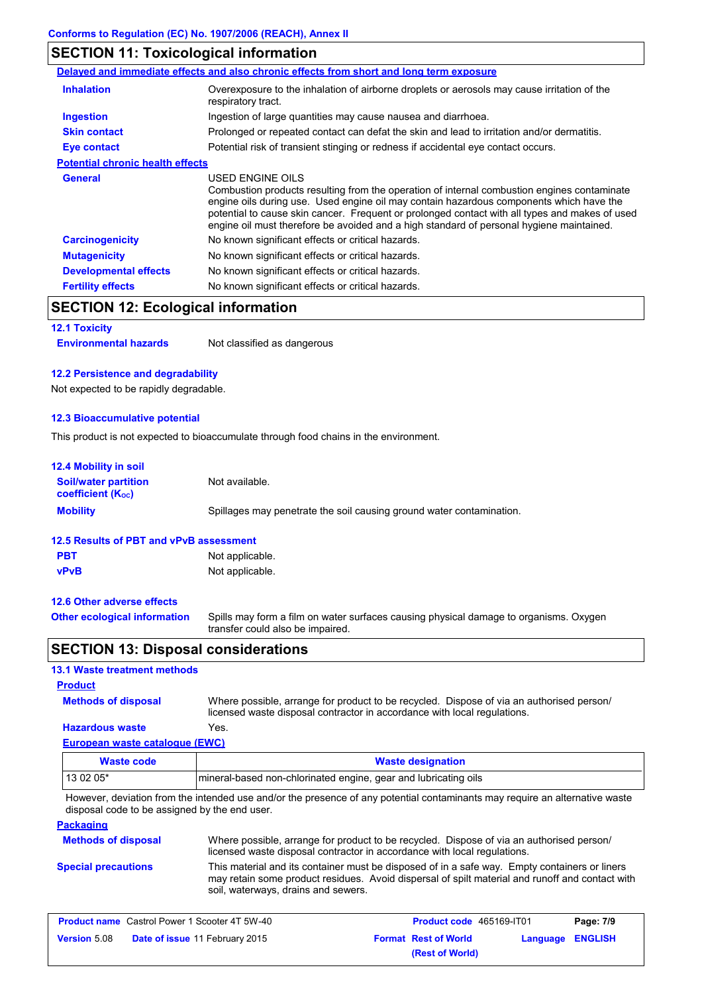# **SECTION 11: Toxicological information**

|                                         | Delayed and immediate effects and also chronic effects from short and long term exposure                                                                                                                                                                                                                                                                                                                 |
|-----------------------------------------|----------------------------------------------------------------------------------------------------------------------------------------------------------------------------------------------------------------------------------------------------------------------------------------------------------------------------------------------------------------------------------------------------------|
| <b>Inhalation</b>                       | Overexposure to the inhalation of airborne droplets or aerosols may cause irritation of the<br>respiratory tract.                                                                                                                                                                                                                                                                                        |
| Ingestion                               | Ingestion of large quantities may cause nausea and diarrhoea.                                                                                                                                                                                                                                                                                                                                            |
| <b>Skin contact</b>                     | Prolonged or repeated contact can defat the skin and lead to irritation and/or dermatitis.                                                                                                                                                                                                                                                                                                               |
| <b>Eye contact</b>                      | Potential risk of transient stinging or redness if accidental eye contact occurs.                                                                                                                                                                                                                                                                                                                        |
| <b>Potential chronic health effects</b> |                                                                                                                                                                                                                                                                                                                                                                                                          |
| <b>General</b>                          | USED ENGINE OILS<br>Combustion products resulting from the operation of internal combustion engines contaminate<br>engine oils during use. Used engine oil may contain hazardous components which have the<br>potential to cause skin cancer. Frequent or prolonged contact with all types and makes of used<br>engine oil must therefore be avoided and a high standard of personal hygiene maintained. |
| <b>Carcinogenicity</b>                  | No known significant effects or critical hazards.                                                                                                                                                                                                                                                                                                                                                        |
| <b>Mutagenicity</b>                     | No known significant effects or critical hazards.                                                                                                                                                                                                                                                                                                                                                        |
| <b>Developmental effects</b>            | No known significant effects or critical hazards.                                                                                                                                                                                                                                                                                                                                                        |
| <b>Fertility effects</b>                | No known significant effects or critical hazards.                                                                                                                                                                                                                                                                                                                                                        |

# **SECTION 12: Ecological information**

# **12.1 Toxicity**

**Environmental hazards** Not classified as dangerous

### **12.2 Persistence and degradability**

Not expected to be rapidly degradable.

## **12.3 Bioaccumulative potential**

This product is not expected to bioaccumulate through food chains in the environment.

| <b>12.4 Mobility in soil</b>                                         |                                                                                                                           |  |  |
|----------------------------------------------------------------------|---------------------------------------------------------------------------------------------------------------------------|--|--|
| <b>Soil/water partition</b><br><b>coefficient</b> (K <sub>oc</sub> ) | Not available.                                                                                                            |  |  |
| <b>Mobility</b>                                                      | Spillages may penetrate the soil causing ground water contamination.                                                      |  |  |
| 12.5 Results of PBT and vPvB assessment                              |                                                                                                                           |  |  |
| <b>PBT</b>                                                           | Not applicable.                                                                                                           |  |  |
| <b>vPvB</b>                                                          | Not applicable.                                                                                                           |  |  |
| 12.6 Other adverse effects                                           |                                                                                                                           |  |  |
| <b>Other ecological information</b>                                  | Spills may form a film on water surfaces causing physical damage to organisms. Oxygen<br>transfer could also be impaired. |  |  |

# **SECTION 13: Disposal considerations**

# **13.1 Waste treatment methods**

# **Product**

**Methods of disposal**

Where possible, arrange for product to be recycled. Dispose of via an authorised person/ licensed waste disposal contractor in accordance with local regulations.

# **European waste catalogue (EWC) Hazardous waste** Yes.

| Waste code                                                                   | <b>Waste designation</b> |  |
|------------------------------------------------------------------------------|--------------------------|--|
| 13 02 05*<br>mineral-based non-chlorinated engine, gear and lubricating oils |                          |  |

However, deviation from the intended use and/or the presence of any potential contaminants may require an alternative waste disposal code to be assigned by the end user.

## **Packaging**

| <b>Methods of disposal</b> | Where possible, arrange for product to be recycled. Dispose of via an authorised person/<br>licensed waste disposal contractor in accordance with local regulations.                                                                    |
|----------------------------|-----------------------------------------------------------------------------------------------------------------------------------------------------------------------------------------------------------------------------------------|
| <b>Special precautions</b> | This material and its container must be disposed of in a safe way. Empty containers or liners<br>may retain some product residues. Avoid dispersal of spilt material and runoff and contact with<br>soil, waterways, drains and sewers. |

| <b>Product name</b> Castrol Power 1 Scooter 4T 5W-40 |                                       | <b>Product code</b> 465169-IT01 |                             | Page: 7/9               |  |
|------------------------------------------------------|---------------------------------------|---------------------------------|-----------------------------|-------------------------|--|
| <b>Version 5.08</b>                                  | <b>Date of issue 11 February 2015</b> |                                 | <b>Format Rest of World</b> | <b>Language ENGLISH</b> |  |
|                                                      |                                       |                                 | (Rest of World)             |                         |  |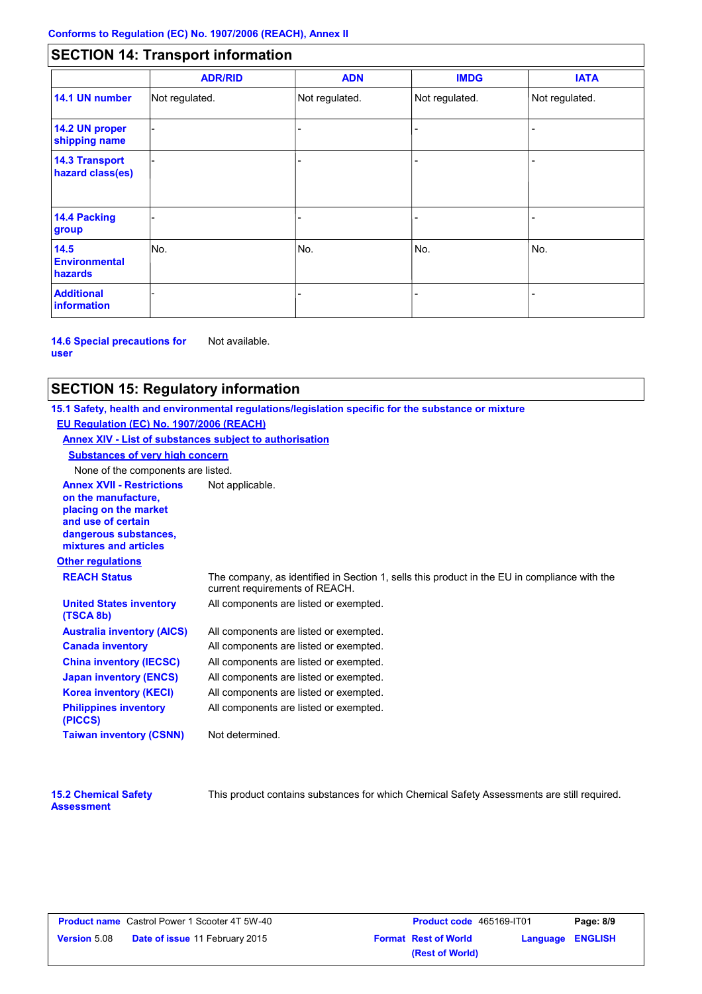# **SECTION 14: Transport information**

|                                           | <b>ADR/RID</b> | <b>ADN</b>     | <b>IMDG</b>    | <b>IATA</b>    |
|-------------------------------------------|----------------|----------------|----------------|----------------|
| 14.1 UN number                            | Not regulated. | Not regulated. | Not regulated. | Not regulated. |
| 14.2 UN proper<br>shipping name           |                |                |                |                |
| <b>14.3 Transport</b><br>hazard class(es) |                |                |                |                |
| 14.4 Packing<br>group                     |                |                |                |                |
| 14.5<br><b>Environmental</b><br>hazards   | No.            | No.            | No.            | No.            |
| <b>Additional</b><br><b>information</b>   |                |                |                |                |

**14.6 Special precautions for user** Not available.

# **SECTION 15: Regulatory information**

**Other regulations Annex XVII - Restrictions** Not applicable. **on the manufacture, placing on the market and use of certain dangerous substances, mixtures and articles REACH Status** The company, as identified in Section 1, sells this product in the EU in compliance with the current requirements of REACH. **15.1 Safety, health and environmental regulations/legislation specific for the substance or mixture EU Regulation (EC) No. 1907/2006 (REACH) Annex XIV - List of substances subject to authorisation Substances of very high concern** None of the components are listed. All components are listed or exempted. All components are listed or exempted. All components are listed or exempted. All components are listed or exempted. All components are listed or exempted. All components are listed or exempted. All components are listed or exempted. **United States inventory (TSCA 8b) Australia inventory (AICS) Canada inventory China inventory (IECSC) Japan inventory (ENCS) Korea inventory (KECI) Philippines inventory (PICCS) Taiwan inventory (CSNN)** Not determined.

| <b>15.2 Chemical Safety</b> |  |
|-----------------------------|--|
| <b>Assessment</b>           |  |

This product contains substances for which Chemical Safety Assessments are still required.